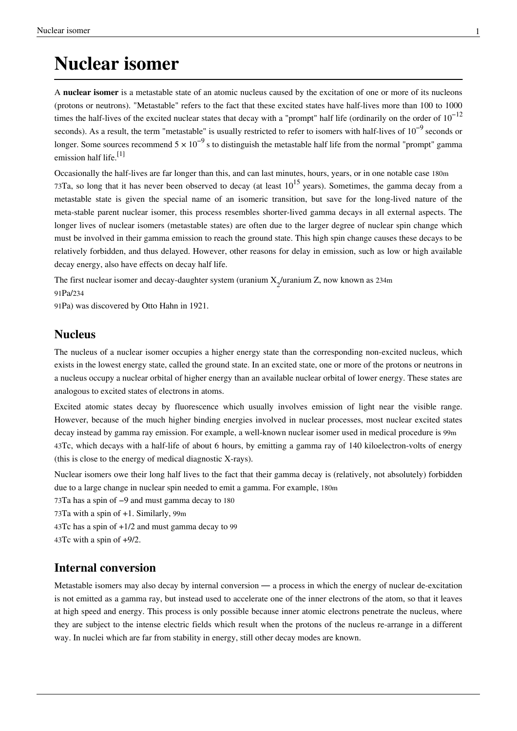## **Nuclear isomer**

A **nuclear isomer** is a [metastable](http://en.wikipedia.org/w/index.php?title=Metastable) state of an [atomic nucleus](http://en.wikipedia.org/w/index.php?title=Atomic_nucleus) caused by the [excitation](http://en.wikipedia.org/w/index.php?title=Excited_state) of one or more of its [nucleons](http://en.wikipedia.org/w/index.php?title=Nucleon) (protons or neutrons). "Metastable" refers to the fact that these excited states have [half-lives m](http://en.wikipedia.org/w/index.php?title=Half-life)ore than 100 to 1000 times the half-lives of the excited nuclear states that decay with a "prompt" half life (ordinarily on the order of  $10^{-12}$ seconds). As a result, the term "metastable" is usually restricted to refer to isomers with half-lives of  $10^{-9}$  seconds or longer. Some sources recommend  $5 \times 10^{-9}$  s to distinguish the metastable half life from the normal "prompt" gamma emission half life.<sup>[1]</sup>

Occasionally the half-lives are far longer than this, and can last minutes, hours, years, or in one notable case [180m](http://en.wikipedia.org/w/index.php?title=Isotopes_of_tantalum) 73[Ta,](http://en.wikipedia.org/w/index.php?title=Isotopes_of_tantalum) so long that it has never been observed to decay (at least  $10^{15}$  years). Sometimes, the [gamma decay](http://en.wikipedia.org/w/index.php?title=Gamma_decay) from a metastable state is given the special name of an [isomeric transition](http://en.wikipedia.org/w/index.php?title=Isomeric_transition), but save for the long-lived nature of the meta-stable parent nuclear isomer, this process resembles shorter-lived gamma decays in all external aspects. The longer lives of nuclear isomers (metastable states) are often due to the larger degree of nuclear spin change which must be involved in their gamma emission to reach the ground state. This high spin change causes these decays to be relatively forbidden, and thus delayed. However, other reasons for delay in emission, such as low or high available decay energy, also have effects on decay half life.

The first nuclear isomer and decay-daughter system (uranium  $X_2$ /uranium Z, now known as 234m 91Pa/[234](http://en.wikipedia.org/w/index.php?title=Isotopes_of_protactinium)

91[Pa](http://en.wikipedia.org/w/index.php?title=Isotopes_of_protactinium)) was discovered by [Otto Hahn i](http://en.wikipedia.org/w/index.php?title=Otto_Hahn)n 1921.

#### **Nucleus**

The nucleus of a nuclear isomer occupies a higher energy state than the corresponding non-excited nucleus, which exists in the lowest energy state, called the [ground state](http://en.wikipedia.org/w/index.php?title=Ground_state). In an excited state, one or more of the protons or neutrons in a nucleus occupy a [nuclear orbital o](http://en.wikipedia.org/w/index.php?title=Nuclear_orbital)f higher energy than an available nuclear orbital of lower energy. These states are analogous to excited states of electrons in atoms.

Excited atomic states decay by [fluorescence w](http://en.wikipedia.org/w/index.php?title=Fluorescence)hich usually involves emission of light near the visible range. However, because of the much higher binding energies involved in nuclear processes, most nuclear excited states decay instead by [gamma ray](http://en.wikipedia.org/w/index.php?title=Gamma_ray) emission. For example, a well-known nuclear isomer used in medical procedure is [99m](http://en.wikipedia.org/w/index.php?title=Technetium-99m) 43[Tc,](http://en.wikipedia.org/w/index.php?title=Technetium-99m) which decays with a half-life of about 6 hours, by emitting a gamma ray of 140 kiloelectron-volts of energy (this is close to the energy of medical diagnostic X-rays).

Nuclear isomers owe their long half lives to the fact that their gamma decay is (relatively, not absolutely) forbidden due to a large change in nuclear spin needed to emit a gamma. For example, 180m

73Ta has a spin of −9 and must gamma decay to 180

73Ta with a spin of +1. Similarly, 99m

43Tc has a spin of  $+1/2$  and must gamma decay to 99

43Tc with a spin of +9/2.

#### **Internal conversion**

Metastable isomers may also decay by [internal conversion](http://en.wikipedia.org/w/index.php?title=Internal_conversion)  $\frac{m}{n}$  a process in which the energy of nuclear de-excitation is not emitted as a gamma ray, but instead used to accelerate one of the inner electrons of the atom, so that it leaves at high speed and energy. This process is only possible because inner atomic electrons penetrate the nucleus, where they are subject to the intense electric fields which result when the protons of the nucleus re-arrange in a different way. In nuclei which are far from stability in energy, still other decay modes are known.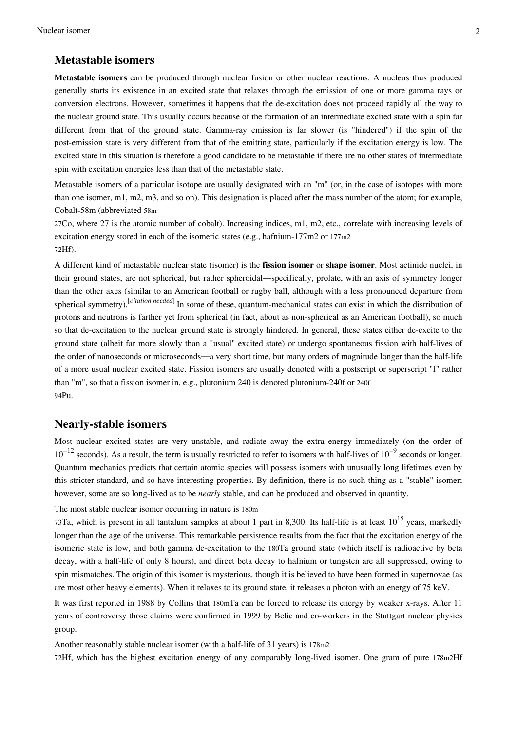#### **Metastable isomers**

**Metastable isomers** can be produced through [nuclear fusion](http://en.wikipedia.org/w/index.php?title=Nuclear_fusion) or other [nuclear reactions](http://en.wikipedia.org/w/index.php?title=Nuclear_reaction). A nucleus thus produced generally starts its existence in an excited state that relaxes through the emission of one or more [gamma rays](http://en.wikipedia.org/w/index.php?title=Gamma_ray) or [conversion electrons](http://en.wikipedia.org/w/index.php?title=Conversion_electron). However, sometimes it happens that the de-excitation does not proceed rapidly all the way to the nuclear [ground state.](http://en.wikipedia.org/w/index.php?title=Ground_state) This usually occurs because of the formation of an intermediate excited state with a [spin](http://en.wikipedia.org/w/index.php?title=Spin_%28physics%29) far different from that of the ground state. Gamma-ray emission is far slower (is "hindered") if the spin of the post-emission state is very different from that of the emitting state, particularly if the excitation energy is low. The excited state in this situation is therefore a good candidate to be metastable if there are no other states of intermediate spin with excitation energies less than that of the metastable state.

Metastable isomers of a particular [isotope a](http://en.wikipedia.org/w/index.php?title=Isotope)re usually designated with an "m" (or, in the case of isotopes with more than one isomer, m1, m2, m3, and so on). This designation is placed after the [mass number o](http://en.wikipedia.org/w/index.php?title=Mass_number)f the atom; for example, Cobalt-58m (abbreviated 58m

27Co, where 27 is the atomic number of cobalt). Increasing indices, m1, m2, etc., correlate with increasing levels of excitation energy stored in each of the isomeric states (e.g., hafnium-177m2 or 177m2 72Hf).

A different kind of metastable nuclear state (isomer) is the **[fission i](http://en.wikipedia.org/w/index.php?title=Nuclear_fission)somer** or **shape isomer**. Most [actinide n](http://en.wikipedia.org/w/index.php?title=Actinide)uclei, in their ground states, are not spherical, but rather [spheroid](http://en.wikipedia.org/w/index.php?title=Spheroid)al—specifically, [prolate](http://en.wikipedia.org/w/index.php?title=Prolate_spheroid), with an [axis of symmetry](http://en.wikipedia.org/w/index.php?title=Axis_of_symmetry) longer than the other axes (similar to an [American football](http://en.wikipedia.org/w/index.php?title=American_football) or [rugby](http://en.wikipedia.org/w/index.php?title=Rugby_football) ball, although with a less pronounced departure from [spherical symmetry](http://en.wikipedia.org/w/index.php?title=Spherical_symmetry)).[*[citation needed](http://en.wikipedia.org/wiki/Citation_needed)*] In some of these, quantum-mechanical states can exist in which the distribution of [protons](http://en.wikipedia.org/w/index.php?title=Proton) and [neutron](http://en.wikipedia.org/w/index.php?title=Neutron)s is farther yet from spherical (in fact, about as non-spherical as an American football), so much so that de-excitation to the nuclear ground state is strongly hindered. In general, these states either de-excite to the ground state (albeit far more slowly than a "usual" excited state) or undergo [spontaneous fission](http://en.wikipedia.org/w/index.php?title=Spontaneous_fission) with [half-lives](http://en.wikipedia.org/w/index.php?title=Half-life) of the order of [nanosecond](http://en.wikipedia.org/w/index.php?title=Nanosecond)s or [microseconds](http://en.wikipedia.org/w/index.php?title=Microsecond)—a very short time, but many orders of magnitude longer than the half-life of a more usual nuclear excited state. Fission isomers are usually denoted with a postscript or superscript "f" rather than "m", so that a fission isomer in, e.g., [plutonium 2](http://en.wikipedia.org/w/index.php?title=Plutonium)40 is denoted plutonium-240f or 240f 94Pu.

#### **Nearly-stable isomers**

Most nuclear excited states are very unstable, and radiate away the extra energy immediately (on the order of  $10^{-12}$  seconds). As a result, the term is usually restricted to refer to isomers with half-lives of  $10^{-9}$  seconds or longer. [Quantum mechanics](http://en.wikipedia.org/w/index.php?title=Quantum_mechanics) predicts that certain atomic species will possess isomers with unusually long lifetimes even by this stricter standard, and so have interesting properties. By definition, there is no such thing as a "stable" isomer; however, some are so long-lived as to be *nearly* stable, and can be produced and observed in quantity.

The most stable nuclear isomer occurring in nature is [180m](http://en.wikipedia.org/w/index.php?title=Isotopes_of_tantalum)

73[Ta,](http://en.wikipedia.org/w/index.php?title=Isotopes_of_tantalum) which is present in all [tantalum](http://en.wikipedia.org/w/index.php?title=Tantalum) samples at about 1 part in 8,300. Its half-life is at least  $10^{15}$  years, markedly longer than the [age of the universe.](http://en.wikipedia.org/w/index.php?title=Age_of_the_universe) This remarkable persistence results from the fact that the excitation energy of the isomeric state is low, and both gamma de-excitation to the 180Ta ground state (which itself is radioactive by beta decay, with a half-life of only 8 hours), and direct [beta decay](http://en.wikipedia.org/w/index.php?title=Beta_decay) to [hafnium](http://en.wikipedia.org/w/index.php?title=Hafnium) or [tungsten](http://en.wikipedia.org/w/index.php?title=Tungsten) are all suppressed, owing to spin mismatches. The origin of this isomer is mysterious, though it is believed to have been formed in [supernovae](http://en.wikipedia.org/w/index.php?title=Supernova) (as are most other heavy elements). When it relaxes to its ground state, it releases a [photon](http://en.wikipedia.org/w/index.php?title=Photon) with an energy of 75 [keV.](http://en.wikipedia.org/w/index.php?title=Electronvolt)

It was first reported in 1988 by Collins that 180mTa can be forced to release its energy by weaker x-rays. After 11 years of controversy those claims were confirmed in 1999 by Belic and co-workers in the Stuttgart nuclear physics group.

Another reasonably stable nuclear isomer (with a half-life of 31 years) is [178m2](http://en.wikipedia.org/w/index.php?title=Isotopes_of_hafnium)

72[Hf,](http://en.wikipedia.org/w/index.php?title=Isotopes_of_hafnium) which has the highest excitation energy of any comparably long-lived isomer. One [gram](http://en.wikipedia.org/w/index.php?title=Gram) of pure 178m2Hf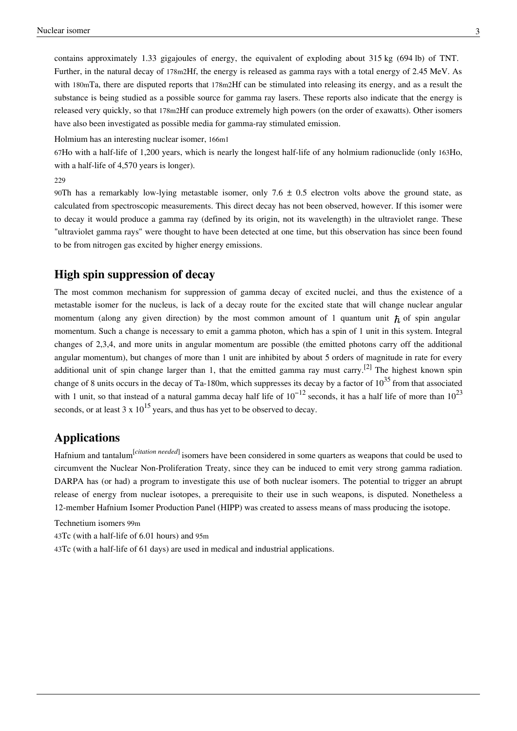contains approximately 1.33 gigajoules of energy, the equivalent of exploding about 315 kg (694 lb) of [TNT.](http://en.wikipedia.org/w/index.php?title=Trinitrotoluene) Further, in the natural decay of 178m2Hf, the energy is released as gamma rays with a total energy of 2.45 [MeV.](http://en.wikipedia.org/w/index.php?title=Electronvolt) As with 180mTa, there are disputed reports that 178m2Hf can be [stimulated](http://en.wikipedia.org/w/index.php?title=Stimulated_emission) into releasing its energy, and as a result the substance is being studied as a possible source for gamma ray [lasers](http://en.wikipedia.org/w/index.php?title=Laser). These reports also indicate that the energy is released very quickly, so that 178m2Hf can produce extremely high powers (on the order of [exawatts](http://en.wikipedia.org/w/index.php?title=Orders_of_magnitude_%28power%29)). Other isomers have also been investigated as possible media for [gamma-ray stimulated emission.](http://en.wikipedia.org/w/index.php?title=Induced_gamma_emission)

[Holmium h](http://en.wikipedia.org/w/index.php?title=Holmium)as an interesting nuclear isomer, [166m1](http://en.wikipedia.org/w/index.php?title=Isotopes_of_holmium)

67[Ho](http://en.wikipedia.org/w/index.php?title=Isotopes_of_holmium) with a half-life of 1,200 years, which is nearly the longest half-life of any holmium radionuclide (only 163Ho, with a half-life of 4,570 years is longer).

#### [229](http://en.wikipedia.org/w/index.php?title=Isotopes_of_thorium)

90[Th](http://en.wikipedia.org/w/index.php?title=Isotopes_of_thorium) has a remarkably low-lying metastable isomer, only  $7.6 \pm 0.5$  electron volts above the ground state, as calculated from spectroscopic measurements. This direct decay has not been observed, however. If this isomer were to decay it would produce a [gamma ray](http://en.wikipedia.org/w/index.php?title=Gamma_ray) (defined by its origin, not its wavelength) in the ultraviolet range. These "ultraviolet gamma rays" were thought to have been detected at one time, but this observation has since been found to be from nitrogen gas excited by higher energy emissions.

#### **High spin suppression of decay**

The most common mechanism for suppression of gamma decay of excited nuclei, and thus the existence of a metastable isomer for the nucleus, is lack of a decay route for the excited state that will change nuclear angular momentum (along any given direction) by the most common amount of 1 quantum unit  $\hbar$  of [spin](http://en.wikipedia.org/w/index.php?title=Spin_%28physics%29) [angular](http://en.wikipedia.org/w/index.php?title=Angular_momentum) [momentum](http://en.wikipedia.org/w/index.php?title=Angular_momentum). Such a change is necessary to emit a gamma photon, which has a spin of 1 unit in this system. Integral changes of 2,3,4, and more units in angular momentum are possible (the emitted photons carry off the additional angular momentum), but changes of more than 1 unit are inhibited by about 5 orders of magnitude in rate for every additional unit of spin change larger than 1, that the emitted gamma ray must carry.<sup>[2]</sup> The highest known spin change of 8 units occurs in the decay of Ta-180m, which suppresses its decay by a factor of  $10^{35}$  from that associated with 1 unit, so that instead of a natural gamma decay half life of  $10^{-12}$  seconds, it has a half life of more than  $10^{23}$ seconds, or at least 3 x  $10^{15}$  years, and thus has yet to be observed to decay.

#### **Applications**

[Hafnium a](http://en.wikipedia.org/w/index.php?title=Hafnium)nd [tantalum](http://en.wikipedia.org/w/index.php?title=Tantalum)[*[citation needed](http://en.wikipedia.org/wiki/Citation_needed)*] isomers have been considered in some quarters as weapons that could be used to circumvent the [Nuclear Non-Proliferation Treaty,](http://en.wikipedia.org/w/index.php?title=Nuclear_Non-Proliferation_Treaty) since they can be [induced to emit very strong gamma radiation](http://en.wikipedia.org/w/index.php?title=Induced_gamma_emission). [DARPA](http://en.wikipedia.org/w/index.php?title=DARPA) has (or had) a program to investigate this use of both nuclear isomers. The potential to trigger an abrupt release of energy from nuclear isotopes, a prerequisite to their use in such weapons, is disputed. Nonetheless a 12-member Hafnium Isomer Production Panel (HIPP) was created to assess means of mass producing the isotope.

[Technetium i](http://en.wikipedia.org/w/index.php?title=Technetium)somers [99m](http://en.wikipedia.org/w/index.php?title=Tc-99m)

43[Tc](http://en.wikipedia.org/w/index.php?title=Tc-99m) (with a half-life of 6.01 hours) and 95m

43Tc (with a half-life of 61 days) are used in [medical a](http://en.wikipedia.org/w/index.php?title=Technetium%23Nuclear_medicine)nd [industrial](http://en.wikipedia.org/w/index.php?title=Technetium%23Industrial) applications.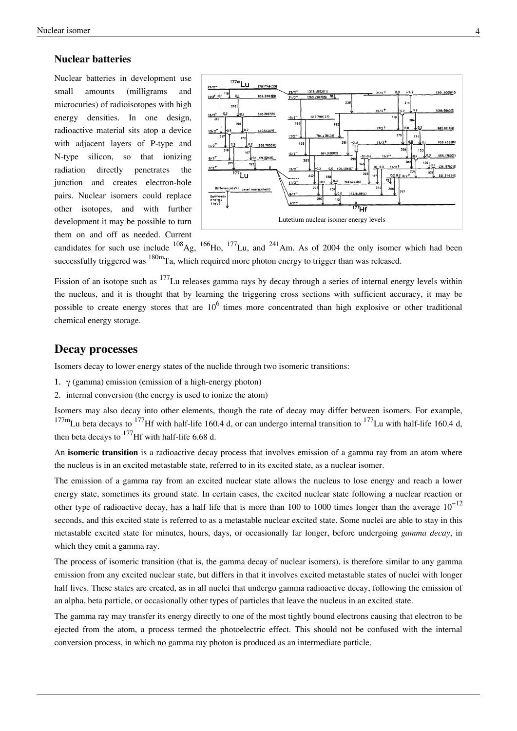#### **Nuclear batteries**

[Nuclear batteries](http://en.wikipedia.org/w/index.php?title=Nuclear_battery) in development use small amounts (milligrams and microcuries) of radioisotopes with high energy densities. In one design, radioactive material sits atop a device with adjacent layers of P-type and N-type silicon, so that ionizing radiation directly penetrates the junction and creates electron-hole pairs. Nuclear isomers could replace other isotopes, and with further development it may be possible to turn them on and off as needed. Current



candidates for such use include  $^{108}$ [Ag](http://en.wikipedia.org/w/index.php?title=Silver),  $^{166}$ [Ho](http://en.wikipedia.org/w/index.php?title=Holmium),  $^{177}$ [Lu](http://en.wikipedia.org/w/index.php?title=Lutetium), and  $^{241}$ [Am.](http://en.wikipedia.org/w/index.php?title=Americium) As of 2004 the only isomer which had been successfully triggered was <sup>180m</sup>[Ta](http://en.wikipedia.org/w/index.php?title=Tantalum), which required more photon energy to trigger than was released.

Fission of an isotope such as <sup>177</sup>Lu releases gamma rays by decay through a series of internal energy levels within the nucleus, and it is thought that by learning the triggering cross sections with sufficient accuracy, it may be possible to create energy stores that are  $10^6$  times more concentrated than high explosive or other traditional chemical energy storage.

#### **Decay processes**

Isomers decay to lower energy states of the nuclide through two isomeric transitions:

- 1.  $\gamma$  (gamma) emission (emission of a high-energy photon)
- 2. [internal conversion \(](http://en.wikipedia.org/w/index.php?title=Internal_conversion)the energy is used to ionize the atom)

Isomers may also decay into other elements, though the rate of decay may differ between isomers. For example,  $^{177}$ m<sub>Lu</sub> beta decays to  $^{177}$ [Hf w](http://en.wikipedia.org/w/index.php?title=Hafnium)ith half-life 160.4 d, or can undergo internal transition to  $^{177}$ Lu with half-life 160.4 d, then beta decays to  $^{177}$ Hf with half-life 6.68 d.

An **isomeric transition** is a [radioactive decay](http://en.wikipedia.org/w/index.php?title=Radioactive_decay) process that involves emission of a [gamma ray f](http://en.wikipedia.org/w/index.php?title=Gamma_ray)rom an [atom](http://en.wikipedia.org/w/index.php?title=Atom) where the [nucleus](http://en.wikipedia.org/w/index.php?title=Atomic_nucleus) is in an excited [metastable s](http://en.wikipedia.org/w/index.php?title=Metastable)tate, referred to in its excited state, as a nuclear isomer.

The emission of a [gamma ray](http://en.wikipedia.org/w/index.php?title=Gamma_ray) from an excited nuclear state allows the nucleus to lose energy and reach a lower energy state, sometimes its [ground state](http://en.wikipedia.org/w/index.php?title=Ground_state). In certain cases, the excited nuclear state following a [nuclear reaction](http://en.wikipedia.org/w/index.php?title=Nuclear_reaction) or other type of [radioactive decay,](http://en.wikipedia.org/w/index.php?title=Radioactive_decay) has a half life that is more than 100 to 1000 times longer than the average  $10^{-12}$ seconds, and this excited state is referred to as a [metastable](http://en.wikipedia.org/w/index.php?title=Metastable) nuclear excited state. Some nuclei are able to stay in this metastable excited state for minutes, hours, days, or occasionally far longer, before undergoing *gamma decay*, in which they emit a gamma ray.

The process of isomeric transition (that is, the gamma decay of nuclear isomers), is therefore similar to any gamma emission from any excited nuclear state, but differs in that it involves excited metastable states of nuclei with longer half lives. These states are created, as in all nuclei that undergo gamma [radioactive decay,](http://en.wikipedia.org/w/index.php?title=Radioactive_decay) following the emission of an [alpha](http://en.wikipedia.org/w/index.php?title=Alpha_particle), [beta particle](http://en.wikipedia.org/w/index.php?title=Beta_particle), or occasionally other types of particles that leave the nucleus in an excited state.

The gamma ray may transfer its energy directly to one of the most tightly bound [electrons](http://en.wikipedia.org/w/index.php?title=Electron) causing that electron to be ejected from the atom, a process termed the [photoelectric effect.](http://en.wikipedia.org/w/index.php?title=Photoelectric_effect) This should not be confused with the [internal](http://en.wikipedia.org/w/index.php?title=Internal_conversion) [conversion](http://en.wikipedia.org/w/index.php?title=Internal_conversion) process, in which no gamma ray photon is produced as an intermediate particle.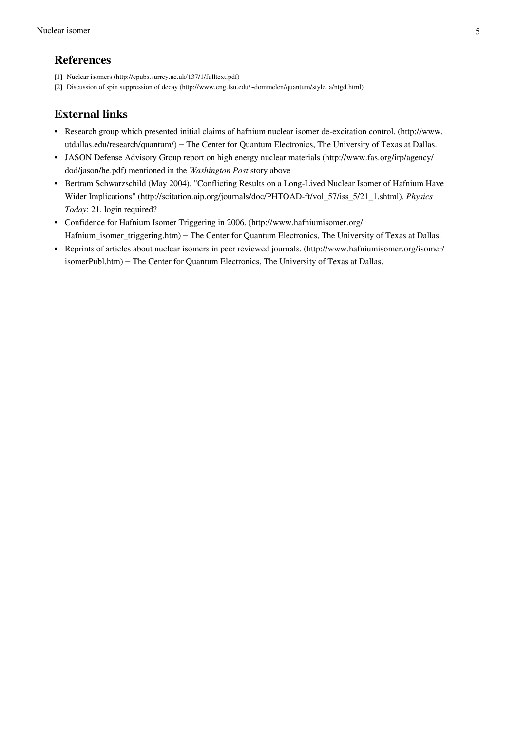### **References**

- [1] Nuclear isomers [\(http://epubs.surrey.ac.uk/137/1/fulltext.pdf\)](http://epubs.surrey.ac.uk/137/1/fulltext.pdf)
- [2] Discussion of spin suppression of decay [\(http://www.eng.fsu.edu/~dommelen/quantum/style\\_a/ntgd.html\)](http://www.eng.fsu.edu/~dommelen/quantum/style_a/ntgd.html)

### **External links**

- Research group which presented initial claims of hafnium nuclear isomer de-excitation control. [\(http://www.](http://www.utdallas.edu/research/quantum/) [utdallas.edu/research/quantum/\)](http://www.utdallas.edu/research/quantum/) – The Center for Quantum Electronics, The University of Texas at Dallas.
- [JASON Defense Advisory Group](http://en.wikipedia.org/w/index.php?title=JASON_Defense_Advisory_Group) report on high energy nuclear materials [\(http://www.fas.org/irp/agency/](http://www.fas.org/irp/agency/dod/jason/he.pdf) [dod/jason/he.pdf\)](http://www.fas.org/irp/agency/dod/jason/he.pdf) mentioned in the *Washington Post* story above
- Bertram Schwarzschild (May 2004). "Conflicting Results on a Long-Lived Nuclear Isomer of Hafnium Have Wider Implications" [\(http://scitation.aip.org/journals/doc/PHTOAD-ft/vol\\_57/iss\\_5/21\\_1.shtml\).](http://scitation.aip.org/journals/doc/PHTOAD-ft/vol_57/iss_5/21_1.shtml) *Physics Today*: 21. login required?
- Confidence for Hafnium Isomer Triggering in 2006. [\(http://www.hafniumisomer.org/](http://www.hafniumisomer.org/Hafnium_isomer_triggering.htm) Hafnium isomer triggering.htm) – The Center for Quantum Electronics, The University of Texas at Dallas.
- Reprints of articles about nuclear isomers in peer reviewed journals. [\(http://www.hafniumisomer.org/isomer/](http://www.hafniumisomer.org/isomer/isomerPubl.htm) [isomerPubl.htm\)](http://www.hafniumisomer.org/isomer/isomerPubl.htm) – The Center for Quantum Electronics, The University of Texas at Dallas.